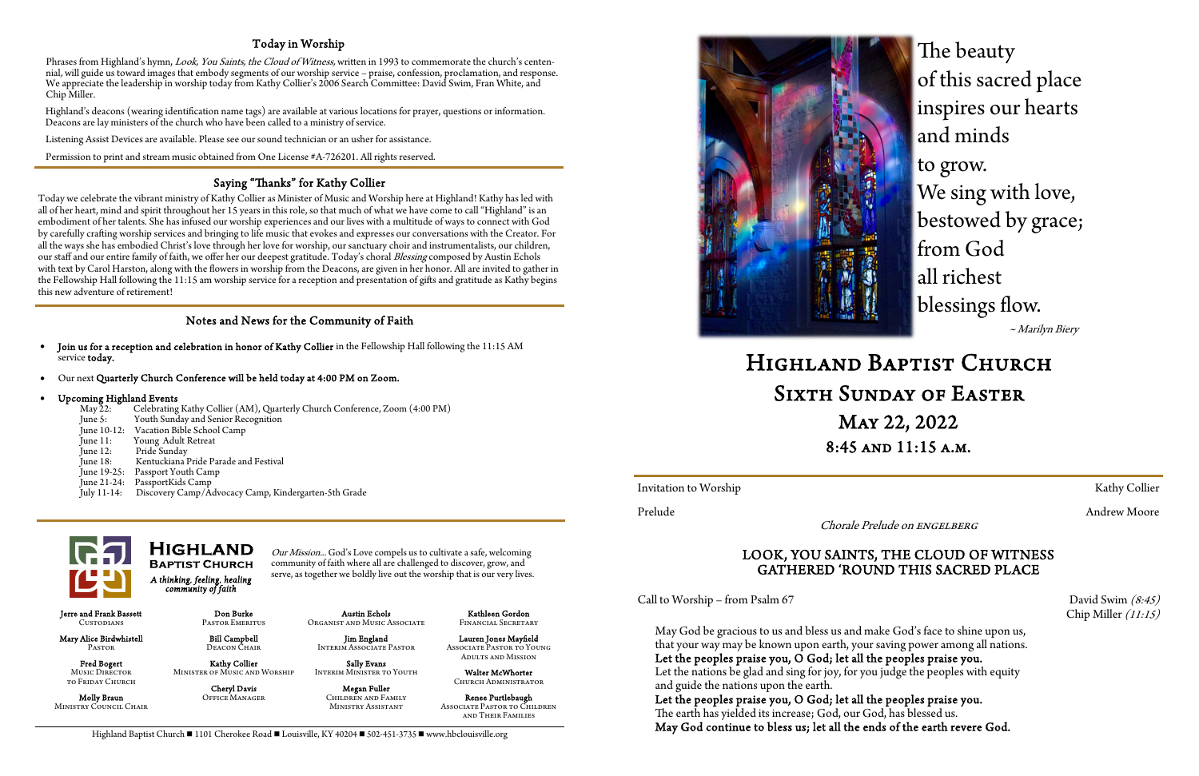## Today in Worship

Phrases from Highland's hymn, Look, You Saints, the Cloud of Witness, written in 1993 to commemorate the church's centennial, will guide us toward images that embody segments of our worship service – praise, confession, proclamation, and response. We appreciate the leadership in worship today from Kathy Collier's 2006 Search Committee: David Swim, Fran White, and Chip Miller.

Highland's deacons (wearing identification name tags) are available at various locations for prayer, questions or information. Deacons are lay ministers of the church who have been called to a ministry of service.

Listening Assist Devices are available. Please see our sound technician or an usher for assistance.

Permission to print and stream music obtained from One License #A-726201. All rights reserved.

### Notes and News for the Community of Faith

Kathleen Gordon FINANCIAL SECRETARY

*A thinking, feeling, healing community of faith* 

Our Mission... God's Love compels us to cultivate a safe, welcoming community of faith where all are challenged to discover, grow, and serve, as together we boldly live out the worship that is our very lives.

Jerre and Frank Bassett Custodians

### **HIGHLAND BAPTIST CHURCH**

 Mary Alice Birdwhistell Pastor

May 22: Celebrating Kathy Collier (AM), Quarterly Church Conference, Zoom (4:00 PM)<br>June 5: Youth Sunday and Senior Recognition Youth Sunday and Senior Recognition June 10-12: Vacation Bible School Camp<br>June 11: Young Adult Retreat June 11: Young Adult Retreat<br>June 12: Pride Sunday Pride Sundav June 18: Kentuckiana Pride Parade and Festival June 19-25: Passport Youth Camp June 21-24: PassportKids Camp

 Fred Bogert Music DIRECTOR to Friday Church

Molly Braun Ministry Council Chair

Don Burke Pastor Emeritus

 Bill Campbell Deacon Chair Kathy Collier Minister of Music and Worship Cheryl Davis Office Manager

Austin Echols Organist and Music Associate

 Jim England Interim Associate Pastor

 Sally Evans Interim Minister to Youth

> Megan Fuller Children and Family Ministry Assistant

 Lauren Jones Mayfield Associate Pastor to Young Adults and Mission

Saying "Thanks" for Kathy Collier<br>Today we celebrate the vibrant ministry of Kathy Collier as Minister of Music and Worship here at Highland! Kathy has led with all of her heart, mind and spirit throughout her 15 years in this role, so that much of what we have come to call "Highland" is an embodiment of her talents. She has infused our worship experiences and our lives with a multitude of ways to connect with God by carefully crafting worship services and bringing to life music that evokes and expresses our conversations with the Creator. For all the ways she has embodied Christ's love through her love for worship, our sanctuary choir and instrumentalists, our children, our staff and our entire family of faith, we offer her our deepest gratitude. Today's choral Blessing composed by Austin Echols with text by Carol Harston, along with the flowers in worship from the Deacons, are given in her honor. All are invited to gather in the Fellowship Hall following the 11:15 am worship service for a reception and presentation of gifts and gratitude as Kathy begins this new adventure of retirement!

> Walter McWhorter Church Administrator

Renee Purtlebaugh Associate Pastor to Children and Their Families

Invitation to Worship Kathy Collier

Chorale Prelude on ENGELBERG

- Join us for a reception and celebration in honor of Kathy Collier in the Fellowship Hall following the 11:15 AM service today.
- Our next Quarterly Church Conference will be held today at 4:00 PM on Zoom.

# Upcoming Highland Events<br>May 22: Celebrating

HIGHLAND BAPTIST CHURCH<br>SIXTH SUNDAY OF EASTER<br>MAY 22, 2022 8:45 and 11:15 a.m.

Prelude Andrew Moore Andrew Moore Andrew Moore

July 11-14: Discovery Camp/Advocacy Camp, Kindergarten-5th Grade



# LOOK, YOU SAINTS, THE CLOUD OF WITNESS GATHERED 'ROUND THIS SACRED PLACE

Call to Worship – from Psalm 67 David Swim  $(8:45)$ 

Chip Miller (11:15)

May God be gracious to us and bless us and make God's face to shine upon us, that your way may be known upon earth, your saving power among all nations. Let the peoples praise you, O God; let all the peoples praise you. Let the nations be glad and sing for joy, for you judge the peoples with equity and guide the nations upon the earth.

Let the peoples praise you, O God; let all the peoples praise you. The earth has yielded its increase; God, our God, has blessed us. May God continue to bless us; let all the ends of the earth revere God.

Highland Baptist Church  $\blacksquare$  1101 Cherokee Road  $\blacksquare$  Louisville, KY 40204  $\blacksquare$  502-451-3735  $\blacksquare$  www.hbclouisville.org

The beauty of this sacred place inspires our hearts and minds to grow. We sing with love, bestowed by grace; from God all richest blessings flow. ~ Marilyn Biery